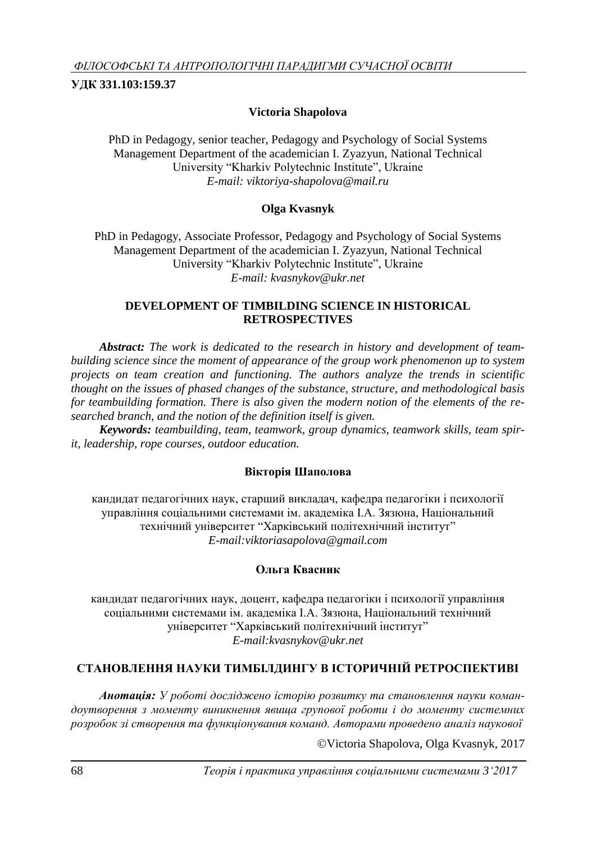**УДК 331.103:159.37**

## **Victoria Shapolova**

PhD in Pedagogy, senior teacher, Pedagogy and Psychology of Social Systems Management Department of the academician I. Zyazyun, National Technical University "Kharkiv Polytechnic Institute", Ukraine *E-mail: [viktoriya-shapolova@mail.ru](mailto:viktoriya-shapolova@mail.ru)*

## **Olga Kvasnyk**

PhD in Pedagogy, Associate Professor, Pedagogy and Psychology of Social Systems Management Department of the academician I. Zyazyun, National Technical University "Kharkiv Polytechnic Institute", Ukraine *E-mail: [kvasnykov@ukr.net](mailto:kvasnykov@ukr.net)*

### **DEVELOPMENT OF TIMBILDING SCIENCE IN HISTORICAL RETROSPECTIVES**

*Abstract: The work is dedicated to the research in history and development of teambuilding science since the moment of appearance of the group work phenomenon up to system projects on team creation and functioning. The authors analyze the trends in scientific thought on the issues of phased changes of the substance, structure, and methodological basis for teambuilding formation. There is also given the modern notion of the elements of the researched branch, and the notion of the definition itself is given.*

*Keywords: teambuilding, team, teamwork, group dynamics, teamwork skills, team spirit, leadership, rope courses, outdoor education.*

# **Вікторія Шаполова**

кандидат педагогічних наук, старший викладач, кафедра педагогіки і психології управління соціальними системами ім. академіка І.А. Зязюна, Національний технічний університет "Харківський політехнічний інститут" *E-mail:viktoriasapolova@gmail.com*

# **Ольга Квасник**

кандидат педагогічних наук, доцент, кафедра педагогіки і психології управління соціальними системами ім. академіка І.А. Зязюна, Національний технічний університет "Харківський політехнічний інститут" *E-mail:kvasnykov@ukr.net*

# **СТАНОВЛЕННЯ НАУКИ ТИМБІЛДИНГУ В ІСТОРИЧНІЙ РЕТРОСПЕКТИВІ**

*Анотація: У роботі досліджено історію розвитку та становлення науки командоутворення з моменту виникнення явища групової роботи і до моменту системних розробок зі створення та функціонування команд. Авторами проведено аналіз наукової* 

Victoria Shapolova, Olga Kvasnyk, 2017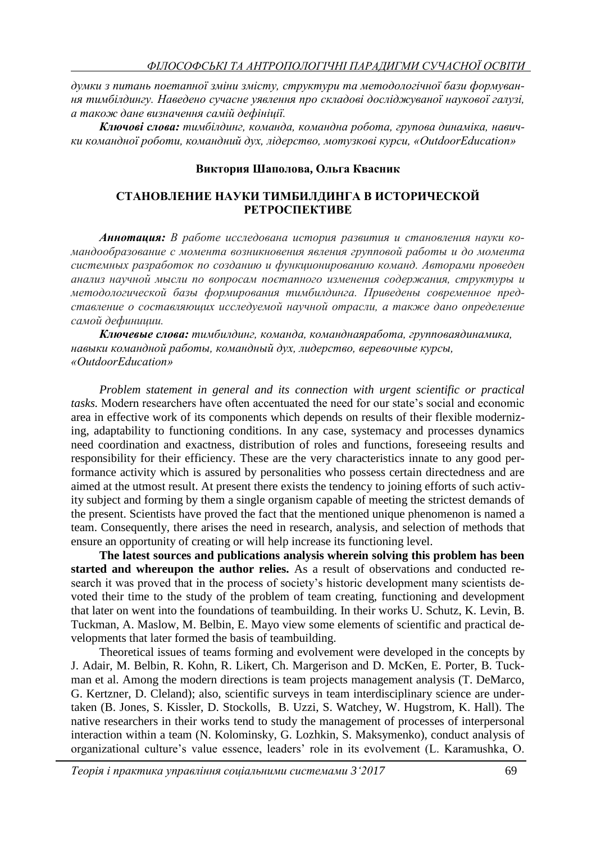*думки з питань поетапної зміни змісту, структури та методологічної бази формування тимбілдингу. Наведено сучасне уявлення про складові досліджуваної наукової галузі, а також дане визначення самій дефініції.*

*Ключові слова: тимбілдинг, команда, командна робота, групова динаміка, навички командної роботи, командний дух, лідерство, мотузкові курси, «OutdoorEducation»*

#### **Виктория Шаполова, Ольга Квасник**

### **СТАНОВЛЕНИЕ НАУКИ ТИМБИЛДИНГА В ИСТОРИЧЕСКОЙ РЕТРОСПЕКТИВЕ**

*Аннотация: В работе исследована история развития и становления науки командообразование с момента возникновения явления групповой работы и до момента системных разработок по созданию и функционированию команд. Авторами проведен анализ научной мысли по вопросам поєтапного изменения содержания, структуры и методологической базы формирования тимбилдинга. Приведены современное представление о составляющих исследуемой научной отрасли, а также дано определение самой дефиниции.*

*Ключевые слова: тимбилдинг, команда, команднаяработа, групповаядинамика, навыки командной работы, командный дух, лидерство, веревочные курсы, «OutdoorEducation»*

*Problem statement in general and its connection with urgent scientific or practical tasks.* Modern researchers have often accentuated the need for our state's social and economic area in effective work of its components which depends on results of their flexible modernizing, adaptability to functioning conditions. In any case, systemacy and processes dynamics need coordination and exactness, distribution of roles and functions, foreseeing results and responsibility for their efficiency. These are the very characteristics innate to any good performance activity which is assured by personalities who possess certain directedness and are aimed at the utmost result. At present there exists the tendency to joining efforts of such activity subject and forming by them a single organism capable of meeting the strictest demands of the present. Scientists have proved the fact that the mentioned unique phenomenon is named a team. Consequently, there arises the need in research, analysis, and selection of methods that ensure an opportunity of creating or will help increase its functioning level.

**The latest sources and publications analysis wherein solving this problem has been started and whereupon the author relies.** As a result of observations and conducted research it was proved that in the process of society's historic development many scientists devoted their time to the study of the problem of team creating, functioning and development that later on went into the foundations of teambuilding. In their works U. Schutz, K. Levin, B. Tuckman, A. Maslow, M. Belbin, E. Mayo view some elements of scientific and practical developments that later formed the basis of teambuilding.

Theoretical issues of teams forming and evolvement were developed in the concepts by J. Adair, M. Belbin, R. Kohn, R. Likert, Ch. Margerison and D. McKen, E. Porter, B. Tuckman et al. Among the modern directions is team projects management analysis (T. DeMarco, G. Kertzner, D. Cleland); also, scientific surveys in team interdisciplinary science are undertaken (B. Jones, S. Kissler, D. Stockolls, B. Uzzi, S. Watchey, W. Hugstrom, K. Hall). The native researchers in their works tend to study the management of processes of interpersonal interaction within a team (N. Kolominsky, G. Lozhkin, S. Maksymenko), conduct analysis of organizational culture's value essence, leaders' role in its evolvement (L. Karamushka, O.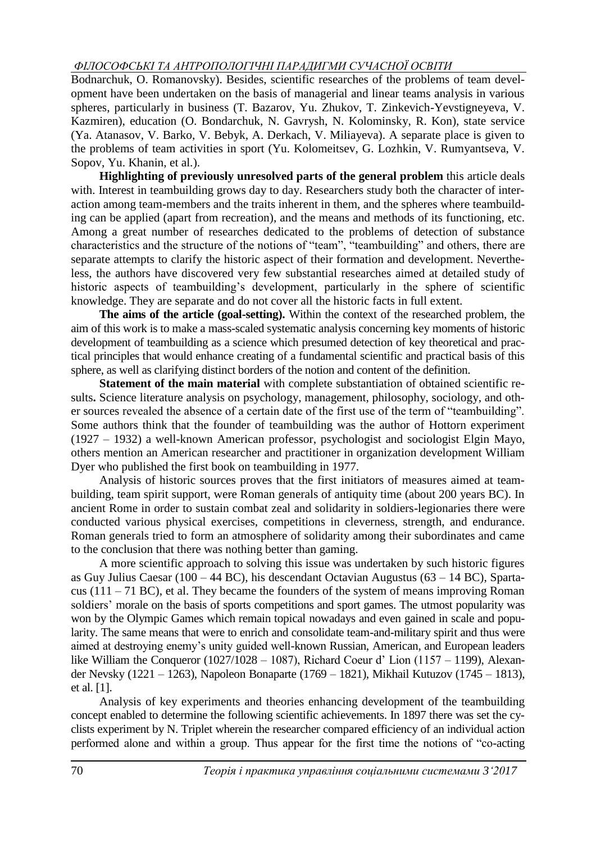# *ФІЛОСОФСЬКІ ТА АНТРОПОЛОГІЧНІ ПАРАДИГМИ СУЧАСНОЇ ОСВІТИ*

Bodnarchuk, O. Romanovsky). Besides, scientific researches of the problems of team development have been undertaken on the basis of managerial and linear teams analysis in various spheres, particularly in business (T. Bazarov, Yu. Zhukov, T. Zinkevich-Yevstigneyeva, V. Kazmiren), education (O. Bondarchuk, N. Gavrysh, N. Kolominsky, R. Kon), state service (Ya. Atanasov, V. Barko, V. Bebyk, A. Derkach, V. Miliayeva). A separate place is given to the problems of team activities in sport (Yu. Kolomeitsev, G. Lozhkin, V. Rumyantseva, V. Sopov, Yu. Khanin, et al.).

**Highlighting of previously unresolved parts of the general problem** this article deals with. Interest in teambuilding grows day to day. Researchers study both the character of interaction among team-members and the traits inherent in them, and the spheres where teambuilding can be applied (apart from recreation), and the means and methods of its functioning, etc. Among a great number of researches dedicated to the problems of detection of substance characteristics and the structure of the notions of "team", "teambuilding" and others, there are separate attempts to clarify the historic aspect of their formation and development. Nevertheless, the authors have discovered very few substantial researches aimed at detailed study of historic aspects of teambuilding's development, particularly in the sphere of scientific knowledge. They are separate and do not cover all the historic facts in full extent.

**The aims of the article (goal-setting).** Within the context of the researched problem, the aim of this work is to make a mass-scaled systematic analysis concerning key moments of historic development of teambuilding as a science which presumed detection of key theoretical and practical principles that would enhance creating of a fundamental scientific and practical basis of this sphere, as well as clarifying distinct borders of the notion and content of the definition.

**Statement of the main material** with complete substantiation of obtained scientific results**.** Science literature analysis on psychology, management, philosophy, sociology, and other sources revealed the absence of a certain date of the first use of the term of "teambuilding". Some authors think that the founder of teambuilding was the author of Hottorn experiment (1927 – 1932) a well-known American professor, psychologist and sociologist Elgin Mayo, others mention an American researcher and practitioner in organization development William Dyer who published the first book on teambuilding in 1977.

Analysis of historic sources proves that the first initiators of measures aimed at teambuilding, team spirit support, were Roman generals of antiquity time (about 200 years BC). In ancient Rome in order to sustain combat zeal and solidarity in soldiers-legionaries there were conducted various physical exercises, competitions in cleverness, strength, and endurance. Roman generals tried to form an atmosphere of solidarity among their subordinates and came to the conclusion that there was nothing better than gaming.

A more scientific approach to solving this issue was undertaken by such historic figures as Guy Julius Caesar (100 – 44 BC), his descendant Octavian Augustus (63 – 14 BC), Spartacus (111 – 71 BC), et al. They became the founders of the system of means improving Roman soldiers' morale on the basis of sports competitions and sport games. The utmost popularity was won by the Olympic Games which remain topical nowadays and even gained in scale and popularity. The same means that were to enrich and consolidate team-and-military spirit and thus were aimed at destroying enemy's unity guided well-known Russian, American, and European leaders like William the Conqueror (1027/1028 – 1087), Richard Coeur d' Lion (1157 – 1199), Alexander Nevsky (1221 – 1263), Napoleon Bonaparte (1769 – 1821), Mikhail Kutuzov (1745 – 1813), et al. [1].

Analysis of key experiments and theories enhancing development of the teambuilding concept enabled to determine the following scientific achievements. In 1897 there was set the cyclists experiment by N. Triplet wherein the researcher compared efficiency of an individual action performed alone and within a group. Thus appear for the first time the notions of "co-acting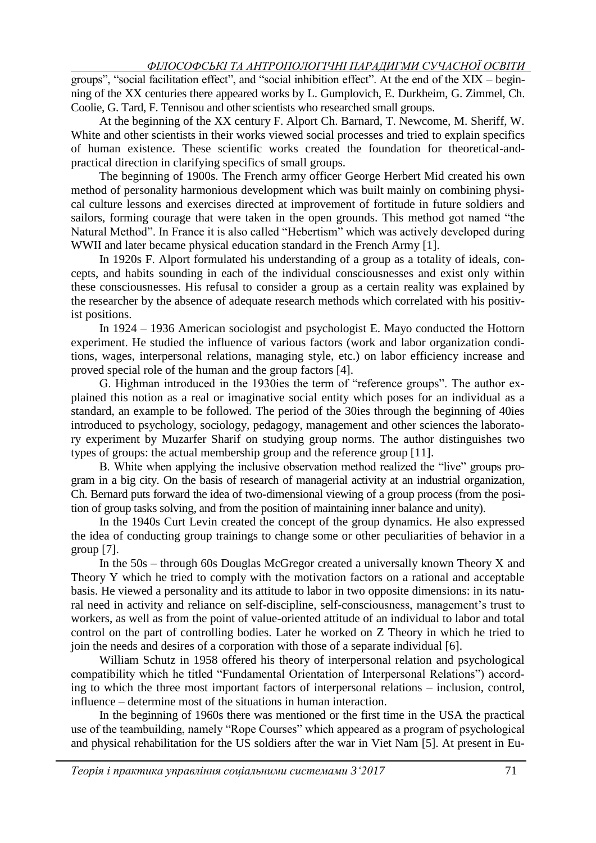groups", "social facilitation effect", and "social inhibition effect". At the end of the XIX – beginning of the XX centuries there appeared works by L. Gumplovich, E. Durkheim, G. Zimmel, Ch. Coolie, G. Tard, F. Tennisou and other scientists who researched small groups.

At the beginning of the XX century F. Alport Ch. Barnard, T. Newcome, M. Sheriff, W. White and other scientists in their works viewed social processes and tried to explain specifics of human existence. These scientific works created the foundation for theoretical-andpractical direction in clarifying specifics of small groups.

The beginning of 1900s. The French army officer George Herbert Mid created his own method of personality harmonious development which was built mainly on combining physical culture lessons and exercises directed at improvement of fortitude in future soldiers and sailors, forming courage that were taken in the open grounds. This method got named "the Natural Method". In France it is also called "Hebertism" which was actively developed during WWII and later became physical education standard in the French Army [1].

In 1920s F. Alport formulated his understanding of a group as a totality of ideals, concepts, and habits sounding in each of the individual consciousnesses and exist only within these consciousnesses. His refusal to consider a group as a certain reality was explained by the researcher by the absence of adequate research methods which correlated with his positivist positions.

In 1924 – 1936 American sociologist and psychologist E. Mayo conducted the Hottorn experiment. He studied the influence of various factors (work and labor organization conditions, wages, interpersonal relations, managing style, etc.) on labor efficiency increase and proved special role of the human and the group factors [4].

G. Highman introduced in the 1930ies the term of "reference groups". The author explained this notion as a real or imaginative social entity which poses for an individual as a standard, an example to be followed. The period of the 30ies through the beginning of 40ies introduced to psychology, sociology, pedagogy, management and other sciences the laboratory experiment by Muzarfer Sharif on studying group norms. The author distinguishes two types of groups: the actual membership group and the reference group [11].

B. White when applying the inclusive observation method realized the "live" groups program in a big city. On the basis of research of managerial activity at an industrial organization, Ch. Bernard puts forward the idea of two-dimensional viewing of a group process (from the position of group tasks solving, and from the position of maintaining inner balance and unity).

In the 1940s Curt Levin created the concept of the group dynamics. He also expressed the idea of conducting group trainings to change some or other peculiarities of behavior in a group [7].

In the  $50s$  – through 60s Douglas McGregor created a universally known Theory X and Theory Y which he tried to comply with the motivation factors on a rational and acceptable basis. He viewed a personality and its attitude to labor in two opposite dimensions: in its natural need in activity and reliance on self-discipline, self-consciousness, management's trust to workers, as well as from the point of value-oriented attitude of an individual to labor and total control on the part of controlling bodies. Later he worked on Z Theory in which he tried to join the needs and desires of a corporation with those of a separate individual [6].

William Schutz in 1958 offered his theory of interpersonal relation and psychological compatibility which he titled "Fundamental Orientation of Interpersonal Relations") according to which the three most important factors of interpersonal relations – inclusion, control, influence – determine most of the situations in human interaction.

In the beginning of 1960s there was mentioned or the first time in the USA the practical use of the teambuilding, namely "Rope Courses" which appeared as a program of psychological and physical rehabilitation for the US soldiers after the war in Viet Nam [5]. At present in Eu-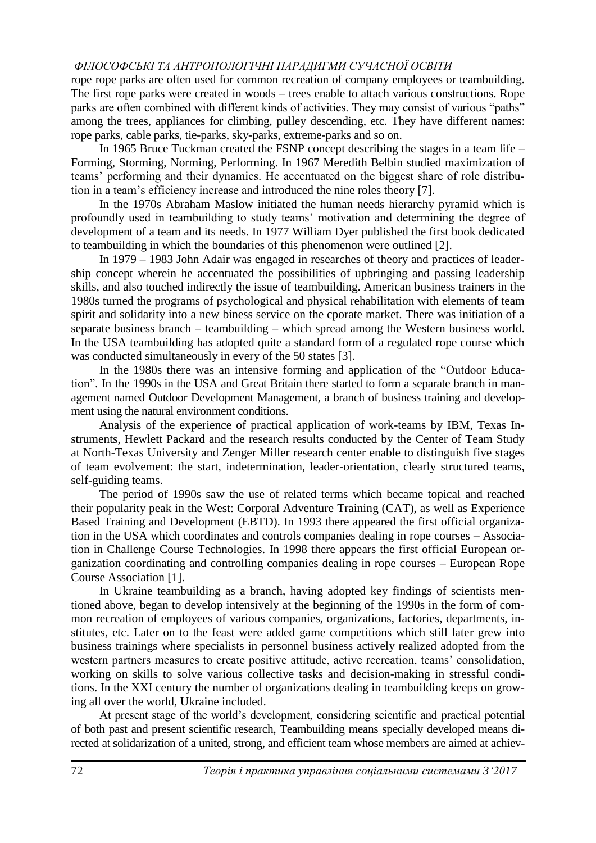# *ФІЛОСОФСЬКІ ТА АНТРОПОЛОГІЧНІ ПАРАДИГМИ СУЧАСНОЇ ОСВІТИ*

rope rope parks are often used for common recreation of company employees or teambuilding. The first rope parks were created in woods – trees enable to attach various constructions. Rope parks are often combined with different kinds of activities. They may consist of various "paths" among the trees, appliances for climbing, pulley descending, etc. They have different names: rope parks, cable parks, tie-parks, sky-parks, extreme-parks and so on.

In 1965 Bruce Tuckman created the FSNP concept describing the stages in a team life  $-$ Forming, Storming, Norming, Performing. In 1967 Meredith Belbin studied maximization of teams' performing and their dynamics. He accentuated on the biggest share of role distribution in a team's efficiency increase and introduced the nine roles theory [7].

In the 1970s Abraham Maslow initiated the human needs hierarchy pyramid which is profoundly used in teambuilding to study teams' motivation and determining the degree of development of a team and its needs. In 1977 William Dyer published the first book dedicated to teambuilding in which the boundaries of this phenomenon were outlined [2].

In 1979 – 1983 John Adair was engaged in researches of theory and practices of leadership concept wherein he accentuated the possibilities of upbringing and passing leadership skills, and also touched indirectly the issue of teambuilding. American business trainers in the 1980s turned the programs of psychological and physical rehabilitation with elements of team spirit and solidarity into a new biness service on the cporate market. There was initiation of a separate business branch – teambuilding – which spread among the Western business world. In the USA teambuilding has adopted quite a standard form of a regulated rope course which was conducted simultaneously in every of the 50 states [3].

In the 1980s there was an intensive forming and application of the "Outdoor Education". In the 1990s in the USA and Great Britain there started to form a separate branch in management named Outdoor Development Management, a branch of business training and development using the natural environment conditions.

Analysis of the experience of practical application of work-teams by IBM, Texas Instruments, Hewlett Packard and the research results conducted by the Center of Team Study at North-Texas University and Zenger Miller research center enable to distinguish five stages of team evolvement: the start, indetermination, leader-orientation, clearly structured teams, self-guiding teams.

The period of 1990s saw the use of related terms which became topical and reached their popularity peak in the West: Corporal Adventure Training (CAT), as well as Experience Based Training and Development (EBTD). In 1993 there appeared the first official organization in the USA which coordinates and controls companies dealing in rope courses – Association in Challenge Course Technologies. In 1998 there appears the first official European organization coordinating and controlling companies dealing in rope courses – European Rope Course Association [1].

In Ukraine teambuilding as a branch, having adopted key findings of scientists mentioned above, began to develop intensively at the beginning of the 1990s in the form of common recreation of employees of various companies, organizations, factories, departments, institutes, etc. Later on to the feast were added game competitions which still later grew into business trainings where specialists in personnel business actively realized adopted from the western partners measures to create positive attitude, active recreation, teams' consolidation, working on skills to solve various collective tasks and decision-making in stressful conditions. In the XXI century the number of organizations dealing in teambuilding keeps on growing all over the world, Ukraine included.

At present stage of the world's development, considering scientific and practical potential of both past and present scientific research, Teambuilding means specially developed means directed at solidarization of a united, strong, and efficient team whose members are aimed at achiev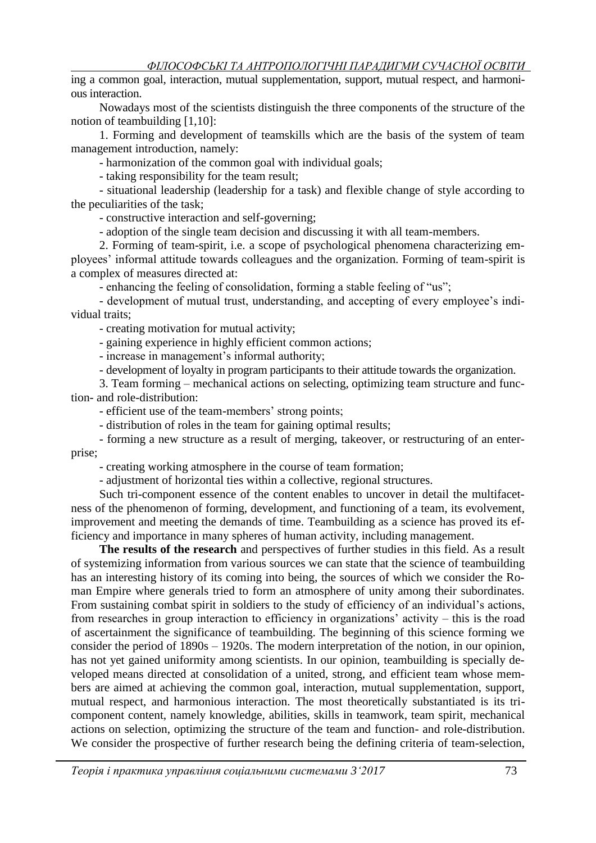ing a common goal, interaction, mutual supplementation, support, mutual respect, and harmonious interaction.

Nowadays most of the scientists distinguish the three components of the structure of the notion of teambuilding [1,10]:

1. Forming and development of teamskills which are the basis of the system of team management introduction, namely:

- harmonization of the common goal with individual goals;

- taking responsibility for the team result;

- situational leadership (leadership for a task) and flexible change of style according to the peculiarities of the task;

- constructive interaction and self-governing;

- adoption of the single team decision and discussing it with all team-members.

2. Forming of team-spirit, i.e. a scope of psychological phenomena characterizing employees' informal attitude towards colleagues and the organization. Forming of team-spirit is a complex of measures directed at:

- enhancing the feeling of consolidation, forming a stable feeling of "us";

- development of mutual trust, understanding, and accepting of every employee's individual traits;

- creating motivation for mutual activity;

- gaining experience in highly efficient common actions;

- increase in management's informal authority;

- development of loyalty in program participants to their attitude towards the organization.

3. Team forming – mechanical actions on selecting, optimizing team structure and function- and role-distribution:

- efficient use of the team-members' strong points;

- distribution of roles in the team for gaining optimal results;

- forming a new structure as a result of merging, takeover, or restructuring of an enterprise;

- creating working atmosphere in the course of team formation;

- adjustment of horizontal ties within a collective, regional structures.

Such tri-component essence of the content enables to uncover in detail the multifacetness of the phenomenon of forming, development, and functioning of a team, its evolvement, improvement and meeting the demands of time. Teambuilding as a science has proved its efficiency and importance in many spheres of human activity, including management.

**The results of the research** and perspectives of further studies in this field. As a result of systemizing information from various sources we can state that the science of teambuilding has an interesting history of its coming into being, the sources of which we consider the Roman Empire where generals tried to form an atmosphere of unity among their subordinates. From sustaining combat spirit in soldiers to the study of efficiency of an individual's actions, from researches in group interaction to efficiency in organizations' activity – this is the road of ascertainment the significance of teambuilding. The beginning of this science forming we consider the period of 1890s – 1920s. The modern interpretation of the notion, in our opinion, has not yet gained uniformity among scientists. In our opinion, teambuilding is specially developed means directed at consolidation of a united, strong, and efficient team whose members are aimed at achieving the common goal, interaction, mutual supplementation, support, mutual respect, and harmonious interaction. The most theoretically substantiated is its tricomponent content, namely knowledge, abilities, skills in teamwork, team spirit, mechanical actions on selection, optimizing the structure of the team and function- and role-distribution. We consider the prospective of further research being the defining criteria of team-selection,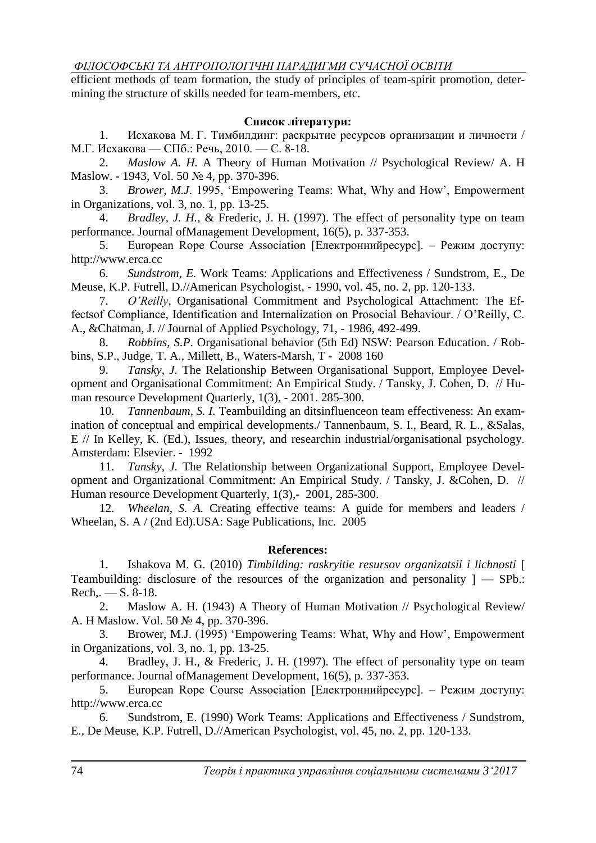*ФІЛОСОФСЬКІ ТА АНТРОПОЛОГІЧНІ ПАРАДИГМИ СУЧАСНОЇ ОСВІТИ*

efficient methods of team formation, the study of principles of team-spirit promotion, determining the structure of skills needed for team-members, etc.

# **Список літератури:**

1. Исхакова М. Г. Тимбилдинг: раскрытие ресурсов организации и личности / М.Г. Исхакова — СПб.: Речь, 2010. — С. 8-18.

2. *Maslow A. [H.](https://www.amazon.co.uk/Theory-Human-Motivation-Abraham-Maslow/dp/162755467X)* A Theory of Human Motivation // Psychological Review/ A. H [Maslow.](https://www.amazon.co.uk/Theory-Human-Motivation-Abraham-Maslow/dp/162755467X) - 1943, Vol. 50 № 4, pp. 370-396.

3. *Brower, M.J*. 1995, 'Empowering Teams: What, Why and How', Empowerment in Organizations, vol. 3, no. 1, pp. 13-25.

4. *Bradley, J. H.,* & Frederic, J. H. (1997). The effect of personality type on team performance. Journal ofManagement Development, 16(5), p. 337-353.

5. European Rope Course Association [Електроннийресурс]. – Режим доступу: [http://www.erca.cc](http://www.erca.cc/)

6. *Sundstrom, E.* Work Teams: Applications and Effectiveness / Sundstrom, E., De Meuse, K.P. Futrell, D.//American Psychologist, - 1990, vol. 45, no. 2, pp. 120-133.

7. *O'Reilly*, Organisational Commitment and Psychological Attachment: The Effectsof Compliance, Identification and Internalization on Prosocial Behaviour. / O'Reilly, C. A., &Chatman, J. // Journal of Applied Psychology, 71, - 1986, 492-499.

8. *Robbins, S.P*. Organisational behavior (5th Ed) NSW: Pearson Education. / Robbins, S.P., Judge, T. A., Millett, B., Waters-Marsh, T - 2008 160

9. *Tansky, J.* The Relationship Between Organisational Support, Employee Development and Organisational Commitment: An Empirical Study. / Tansky, J. Cohen, D. // Human resource Development Quarterly, 1(3), - 2001. 285-300.

10. *Tannenbaum, S. I.* Teambuilding an ditsinfluenceon team effectiveness: An examination of conceptual and empirical developments./ Tannenbaum, S. I., Beard, R. L., &Salas, E // In Kelley, K. (Ed.), Issues, theory, and researchin industrial/organisational psychology. Amsterdam: Elsevier. - 1992

11. *Tansky, J.* The Relationship between Organizational Support, Employee Development and Organizational Commitment: An Empirical Study. / Tansky, J. &Cohen, D. // Human resource Development Quarterly, 1(3), - 2001, 285-300.

12. *Wheelan, S. A.* Creating effective teams: A guide for members and leaders / Wheelan, S. A / (2nd Ed).USA: Sage Publications, Inc. 2005

# **References:**

1. Ishakova M. G. (2010) *Timbilding: raskryitie resursov organizatsii i lichnosti* Teambuilding: disclosure of the resources of the organization and personality  $]-$  SPb.:  $Rech., -S. 8-18.$ 

2. Maslow A. [H. \(1943\) A](https://www.amazon.co.uk/Theory-Human-Motivation-Abraham-Maslow/dp/162755467X) Theory of Human Motivation // Psychological Review/ A. H [Maslow.](https://www.amazon.co.uk/Theory-Human-Motivation-Abraham-Maslow/dp/162755467X) Vol. 50 № 4, pp. 370-396.

3. Brower, M.J. (1995) 'Empowering Teams: What, Why and How', Empowerment in Organizations, vol. 3, no. 1, pp. 13-25.

4. Bradley, J. H., & Frederic, J. H. (1997). The effect of personality type on team performance. Journal ofManagement Development, 16(5), p. 337-353.

5. European Rope Course Association [Електроннийресурс]. – Режим доступу: [http://www.erca.cc](http://www.erca.cc/)

6. Sundstrom, E. (1990) Work Teams: Applications and Effectiveness / Sundstrom, E., De Meuse, K.P. Futrell, D.//American Psychologist, vol. 45, no. 2, pp. 120-133.